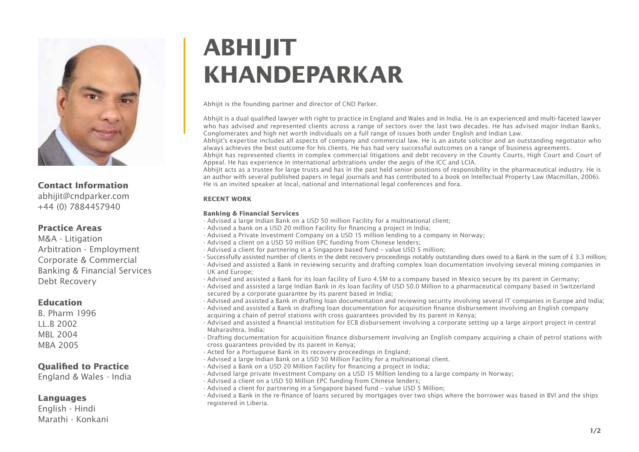

# **Contact Information**

abhijit@cndparker.com +44 (0) 7884457940

## **Practice Areas**

M&A - Litigation Arbitration - Employment Corporate & Commercial Banking & Financial Services Debt Recovery

## **Education**

B. Pharm 1996 LL.B 2002 MBL 2004 MBA 2005

# **Qualified to Practice**

England & Wales - India

# **Languages**

English - Hindi Marathi - Konkani

# **ABHIJIT KHANDEPARKAR**

Abhijit is the founding partner and director of CND Parker.

Abhijit is a dual qualified lawyer with right to practice in England and Wales and in India. He is an experienced and multi-faceted lawyer who has advised and represented clients across a range of sectors over the last two decades. He has advised major Indian Banks, Conglomerates and high net worth individuals on a full range of issues both under English and Indian Law.

Abhijit's expertise includes all aspects of company and commercial law. He is an astute solicitor and an outstanding negotiator who always achieves the best outcome for his clients. He has had very successful outcomes on a range of business agreements.

Abhijit has represented clients in complex commercial litigations and debt recovery in the County Courts, High Court and Court of Appeal. He has experience in international arbitrations under the aegis of the ICC and LCIA.

Abhijit acts as a trustee for large trusts and has in the past held senior positions of responsibility in the pharmaceutical industry. He is an author with several published papers in legal journals and has contributed to a book on Intellectual Property Law (Macmillan, 2006). He is an invited speaker at local, national and international legal conferences and fora.

## **RECENT WORK**

## **Banking & Financial Services**

- ∙ Advised a large Indian Bank on a USD 50 million Facility for a multinational client;
- ∙ Advised a bank on a USD 20 million Facility for nancing a project in India;
- ∙ Advised a Private Investment Company on a USD 15 million lending to a company in Norway;
- ∙ Advised a client on a USD 50 million EPC funding from Chinese lenders;
- ∙ Advised a client for partnering in a Singapore based fund value USD 5 million;
- ∙ Successfully assisted number of clients in the debt recovery proceedings notably outstanding dues owed to a Bank in the sum of £ 3.3 million;
- ∙ Advised and assisted a Bank in reviewing security and drafting complex loan documentation involving several mining companies in UK and Europe;
- ∙ Advised and assisted a Bank for its loan facility of Euro 4.5M to a company based in Mexico secure by its parent in Germany;
- ∙ Advised and assisted a large Indian Bank in its loan facility of USD 50.0 Million to a pharmaceutical company based in Switzerland secured by a corporate guarantee by its parent based in India:
- ∙ Advised and assisted a Bank in drafting loan documentation and reviewing security involving several IT companies in Europe and India;
- ∙ Advised and assisted a Bank in drafting loan documentation for acquisition nance disbursement involving an English company acquiring a chain of petrol stations with cross guarantees provided by its parent in Kenya;
- ∙ Advised and assisted a nancial institution for ECB disbursement involving a corporate setting up a large airport project in central Maharashtra, India;
- ∙ Drafting documentation for acquisition nance disbursement involving an English company acquiring a chain of petrol stations with cross guarantees provided by its parent in Kenya;
- ∙ Acted for a Portuguese Bank in its recovery proceedings in England;
- ∙ Advised a large Indian Bank on a USD 50 Million Facility for a multinational client.
- $\cdot$  Advised a Bank on a USD 20 Million Facility for financing a project in India;
- ∙ Advised large private Investment Company on a USD 15 Million lending to a large company in Norway;
- ∙ Advised a client on a USD 50 Million EPC funding from Chinese lenders;
- ∙ Advised a client for partnering in a Singapore based fund value USD 5 Million;
- ∙ Advised a Bank in the re-finance of loans secured by mortgages over two ships where the borrower was based in BVI and the ships registered in Liberia.